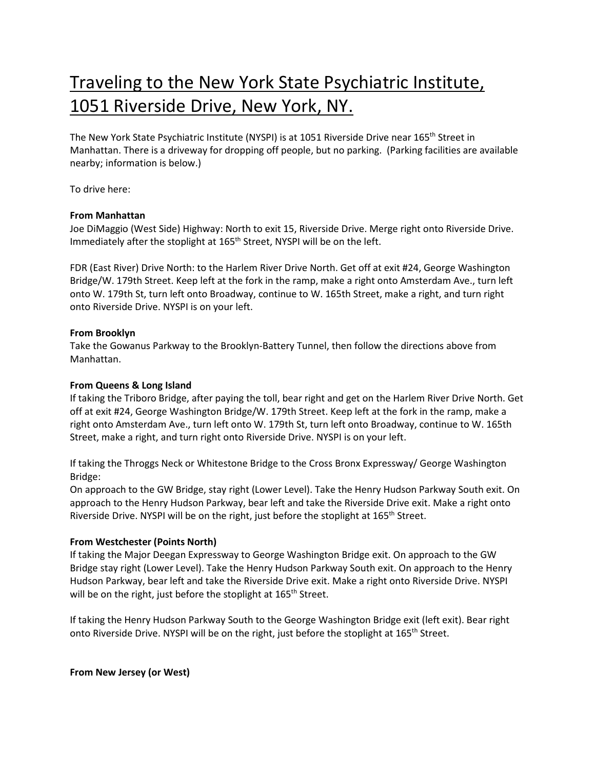# Traveling to the New York State Psychiatric Institute, 1051 Riverside Drive, New York, NY.

The New York State Psychiatric Institute (NYSPI) is at 1051 Riverside Drive near 165<sup>th</sup> Street in Manhattan. There is a driveway for dropping off people, but no parking. (Parking facilities are available nearby; information is below.)

To drive here:

# **From Manhattan**

Joe DiMaggio (West Side) Highway: North to exit 15, Riverside Drive. Merge right onto Riverside Drive. Immediately after the stoplight at 165<sup>th</sup> Street, NYSPI will be on the left.

FDR (East River) Drive North: to the Harlem River Drive North. Get off at exit #24, George Washington Bridge/W. 179th Street. Keep left at the fork in the ramp, make a right onto Amsterdam Ave., turn left onto W. 179th St, turn left onto Broadway, continue to W. 165th Street, make a right, and turn right onto Riverside Drive. NYSPI is on your left.

# **From Brooklyn**

Take the Gowanus Parkway to the Brooklyn-Battery Tunnel, then follow the directions above from Manhattan.

# **From Queens & Long Island**

If taking the Triboro Bridge, after paying the toll, bear right and get on the Harlem River Drive North. Get off at exit #24, George Washington Bridge/W. 179th Street. Keep left at the fork in the ramp, make a right onto Amsterdam Ave., turn left onto W. 179th St, turn left onto Broadway, continue to W. 165th Street, make a right, and turn right onto Riverside Drive. NYSPI is on your left.

If taking the Throggs Neck or Whitestone Bridge to the Cross Bronx Expressway/ George Washington Bridge:

On approach to the GW Bridge, stay right (Lower Level). Take the Henry Hudson Parkway South exit. On approach to the Henry Hudson Parkway, bear left and take the Riverside Drive exit. Make a right onto Riverside Drive. NYSPI will be on the right, just before the stoplight at 165<sup>th</sup> Street.

# **From Westchester (Points North)**

If taking the Major Deegan Expressway to George Washington Bridge exit. On approach to the GW Bridge stay right (Lower Level). Take the Henry Hudson Parkway South exit. On approach to the Henry Hudson Parkway, bear left and take the Riverside Drive exit. Make a right onto Riverside Drive. NYSPI will be on the right, just before the stoplight at 165<sup>th</sup> Street.

If taking the Henry Hudson Parkway South to the George Washington Bridge exit (left exit). Bear right onto Riverside Drive. NYSPI will be on the right, just before the stoplight at 165<sup>th</sup> Street.

**From New Jersey (or West)**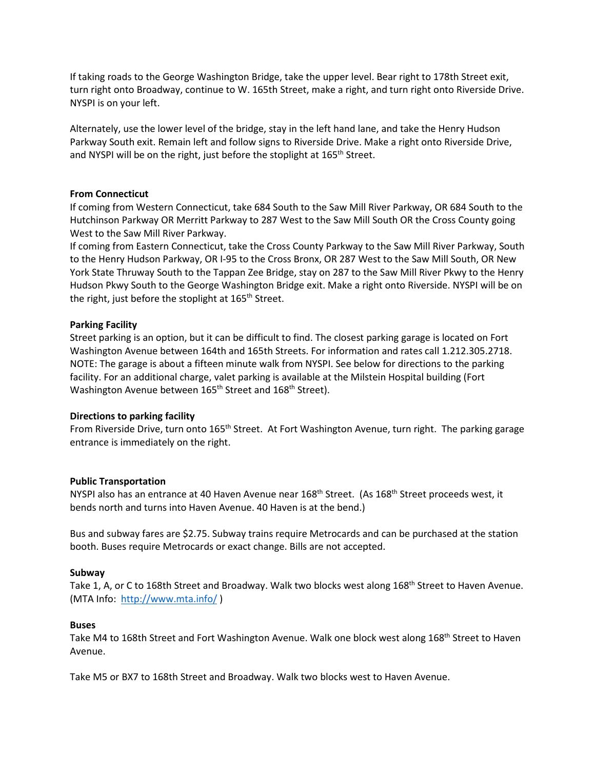If taking roads to the George Washington Bridge, take the upper level. Bear right to 178th Street exit, turn right onto Broadway, continue to W. 165th Street, make a right, and turn right onto Riverside Drive. NYSPI is on your left.

Alternately, use the lower level of the bridge, stay in the left hand lane, and take the Henry Hudson Parkway South exit. Remain left and follow signs to Riverside Drive. Make a right onto Riverside Drive, and NYSPI will be on the right, just before the stoplight at 165<sup>th</sup> Street.

## **From Connecticut**

If coming from Western Connecticut, take 684 South to the Saw Mill River Parkway, OR 684 South to the Hutchinson Parkway OR Merritt Parkway to 287 West to the Saw Mill South OR the Cross County going West to the Saw Mill River Parkway.

If coming from Eastern Connecticut, take the Cross County Parkway to the Saw Mill River Parkway, South to the Henry Hudson Parkway, OR I-95 to the Cross Bronx, OR 287 West to the Saw Mill South, OR New York State Thruway South to the Tappan Zee Bridge, stay on 287 to the Saw Mill River Pkwy to the Henry Hudson Pkwy South to the George Washington Bridge exit. Make a right onto Riverside. NYSPI will be on the right, just before the stoplight at 165<sup>th</sup> Street.

## **Parking Facility**

Street parking is an option, but it can be difficult to find. The closest parking garage is located on Fort Washington Avenue between 164th and 165th Streets. For information and rates call 1.212.305.2718. NOTE: The garage is about a fifteen minute walk from NYSPI. See below for directions to the parking facility. For an additional charge, valet parking is available at the Milstein Hospital building (Fort Washington Avenue between 165<sup>th</sup> Street and 168<sup>th</sup> Street).

#### **Directions to parking facility**

From Riverside Drive, turn onto 165<sup>th</sup> Street. At Fort Washington Avenue, turn right. The parking garage entrance is immediately on the right.

#### **Public Transportation**

NYSPI also has an entrance at 40 Haven Avenue near 168<sup>th</sup> Street. (As 168<sup>th</sup> Street proceeds west, it bends north and turns into Haven Avenue. 40 Haven is at the bend.)

Bus and subway fares are \$2.75. Subway trains require Metrocards and can be purchased at the station booth. Buses require Metrocards or exact change. Bills are not accepted.

#### **Subway**

Take 1, A, or C to 168th Street and Broadway. Walk two blocks west along 168<sup>th</sup> Street to Haven Avenue. (MTA Info:<http://www.mta.info/> )

## **Buses**

Take M4 to 168th Street and Fort Washington Avenue. Walk one block west along 168<sup>th</sup> Street to Haven Avenue.

Take M5 or BX7 to 168th Street and Broadway. Walk two blocks west to Haven Avenue.